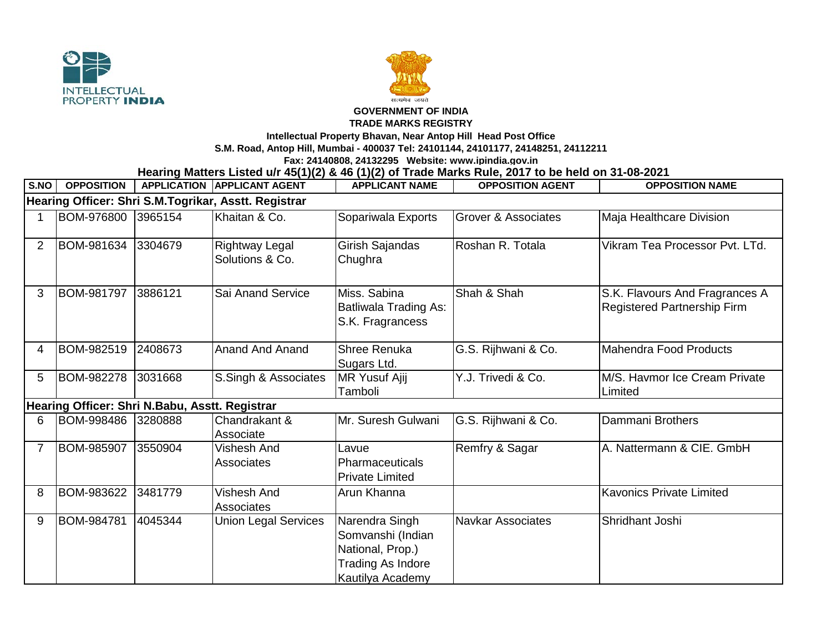



## **GOVERNMENT OF INDIA**

## **TRADE MARKS REGISTRY**

**Intellectual Property Bhavan, Near Antop Hill Head Post Office**

**S.M. Road, Antop Hill, Mumbai - 400037 Tel: 24101144, 24101177, 24148251, 24112211**

**Fax: 24140808, 24132295 Website: www.ipindia.gov.in**

**Hearing Matters Listed u/r 45(1)(2) & 46 (1)(2) of Trade Marks Rule, 2017 to be held on 31-08-2021** 

| S.NO                                                 | <b>OPPOSITION</b> |         | <b>APPLICATION APPLICANT AGENT</b> | <b>APPLICANT NAME</b>                                                                                   | <b>OPPOSITION AGENT</b>        | <b>OPPOSITION NAME</b>                                               |  |  |  |  |
|------------------------------------------------------|-------------------|---------|------------------------------------|---------------------------------------------------------------------------------------------------------|--------------------------------|----------------------------------------------------------------------|--|--|--|--|
| Hearing Officer: Shri S.M.Togrikar, Asstt. Registrar |                   |         |                                    |                                                                                                         |                                |                                                                      |  |  |  |  |
|                                                      | <b>BOM-976800</b> | 3965154 | Khaitan & Co.                      | Sopariwala Exports                                                                                      | <b>Grover &amp; Associates</b> | Maja Healthcare Division                                             |  |  |  |  |
| 2                                                    | BOM-981634        | 3304679 | Rightway Legal<br>Solutions & Co.  | Girish Sajandas<br>Chughra                                                                              | Roshan R. Totala               | Vikram Tea Processor Pyt. LTd.                                       |  |  |  |  |
| 3                                                    | <b>BOM-981797</b> | 3886121 | Sai Anand Service                  | Miss. Sabina<br><b>Batliwala Trading As:</b><br>S.K. Fragrancess                                        | Shah & Shah                    | S.K. Flavours And Fragrances A<br><b>Registered Partnership Firm</b> |  |  |  |  |
| 4                                                    | BOM-982519        | 2408673 | <b>Anand And Anand</b>             | Shree Renuka<br>Sugars Ltd.                                                                             | G.S. Rijhwani & Co.            | Mahendra Food Products                                               |  |  |  |  |
| 5                                                    | <b>BOM-982278</b> | 3031668 | S.Singh & Associates               | <b>MR Yusuf Ajij</b><br>Tamboli                                                                         | Y.J. Trivedi & Co.             | M/S. Havmor Ice Cream Private<br>Limited                             |  |  |  |  |
| Hearing Officer: Shri N.Babu, Asstt. Registrar       |                   |         |                                    |                                                                                                         |                                |                                                                      |  |  |  |  |
| 6                                                    | BOM-998486        | 3280888 | Chandrakant &<br>Associate         | Mr. Suresh Gulwani                                                                                      | G.S. Rijhwani & Co.            | Dammani Brothers                                                     |  |  |  |  |
| 7                                                    | BOM-985907        | 3550904 | Vishesh And<br>Associates          | Lavue<br>Pharmaceuticals<br><b>Private Limited</b>                                                      | Remfry & Sagar                 | A. Nattermann & CIE. GmbH                                            |  |  |  |  |
| 8                                                    | BOM-983622        | 3481779 | Vishesh And<br>Associates          | Arun Khanna                                                                                             |                                | <b>Kavonics Private Limited</b>                                      |  |  |  |  |
| 9                                                    | <b>BOM-984781</b> | 4045344 | <b>Union Legal Services</b>        | Narendra Singh<br>Somvanshi (Indian<br>National, Prop.)<br><b>Trading As Indore</b><br>Kautilya Academy | <b>Navkar Associates</b>       | Shridhant Joshi                                                      |  |  |  |  |